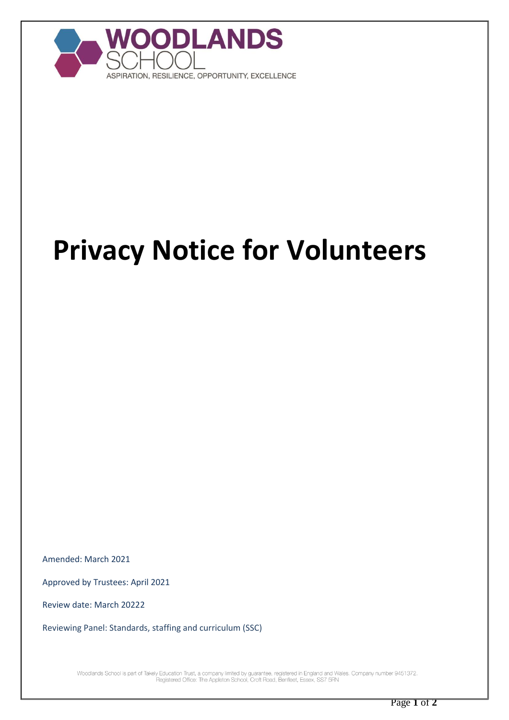

## **Privacy Notice for Volunteers**

Amended: March 2021

Approved by Trustees: April 2021

Review date: March 20222

Reviewing Panel: Standards, staffing and curriculum (SSC)

Woodlands School is part of Takely Education Trust, a company limited by guarantee, registered in England and Wales. Company number 9451372.<br>Registered Office: The Appleton School, Croft Road, Benfleet, Essex, SS7 5RN